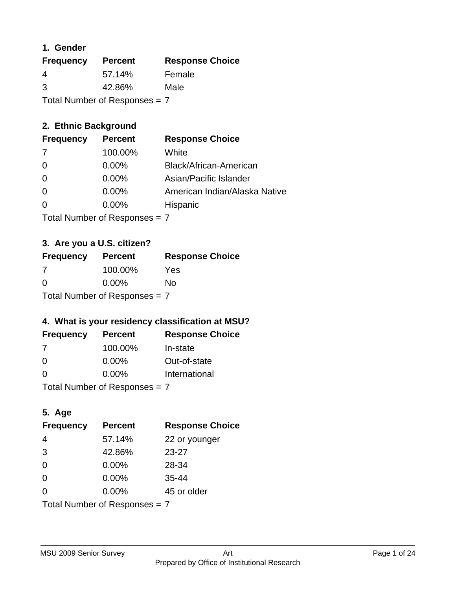### **1. Gender**

| <b>Frequency</b>              | <b>Percent</b> | <b>Response Choice</b> |
|-------------------------------|----------------|------------------------|
| 4                             | 57.14%         | Female                 |
| 3                             | 42.86%         | Male                   |
| Total Number of Responses = 7 |                |                        |

### **2. Ethnic Background**

| <b>Frequency</b> | <b>Percent</b> | <b>Response Choice</b>        |
|------------------|----------------|-------------------------------|
| -7               | 100.00%        | White                         |
| $\Omega$         | $0.00\%$       | Black/African-American        |
| $\Omega$         | $0.00\%$       | Asian/Pacific Islander        |
| $\Omega$         | 0.00%          | American Indian/Alaska Native |
|                  | $0.00\%$       | Hispanic                      |
|                  |                |                               |

Total Number of Responses = 7

# **3. Are you a U.S. citizen?**

| <b>Frequency</b>                | <b>Percent</b> | <b>Response Choice</b> |
|---------------------------------|----------------|------------------------|
| -7                              | 100.00%        | Yes                    |
| $\Omega$                        | $0.00\%$       | No                     |
| Total Number of Responses $= 7$ |                |                        |

### **4. What is your residency classification at MSU?**

| <b>Frequency</b> | <b>Percent</b> | <b>Response Choice</b> |
|------------------|----------------|------------------------|
| 7                | 100.00%        | In-state               |
| $\Omega$         | $0.00\%$       | Out-of-state           |
| $\Omega$         | $0.00\%$       | International          |
|                  |                |                        |

Total Number of Responses = 7

### **5. Age**

| <b>Frequency</b>              | <b>Percent</b> | <b>Response Choice</b> |
|-------------------------------|----------------|------------------------|
| 4                             | 57.14%         | 22 or younger          |
| 3                             | 42.86%         | $23 - 27$              |
| 0                             | 0.00%          | 28-34                  |
| 0                             | $0.00\%$       | $35 - 44$              |
| 0                             | 0.00%          | 45 or older            |
| Total Number of Responses = 7 |                |                        |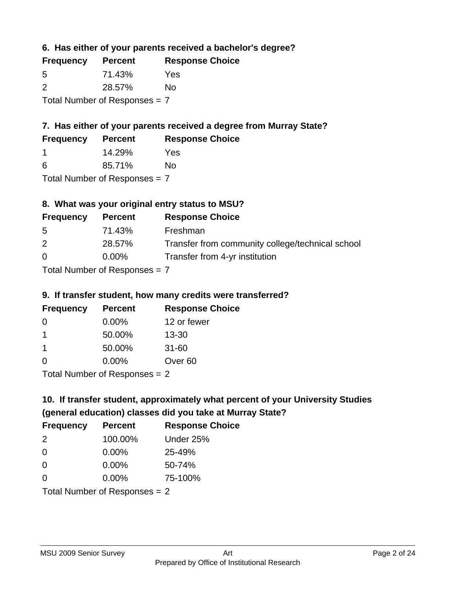**6. Has either of your parents received a bachelor's degree?**

| <b>Frequency</b>                | <b>Percent</b> | <b>Response Choice</b> |
|---------------------------------|----------------|------------------------|
| 5                               | 71.43%         | Yes                    |
| $\mathcal{P}$                   | 28.57%         | Nο                     |
| Total Number of Responses $= 7$ |                |                        |

# **7. Has either of your parents received a degree from Murray State?**

| <b>Frequency</b> | <b>Percent</b> | <b>Response Choice</b> |
|------------------|----------------|------------------------|
|                  | 14.29%         | Yes                    |
| -6               | 85.71%         | No                     |

Total Number of Responses = 7

### **8. What was your original entry status to MSU?**

| <b>Frequency</b> | <b>Percent</b>            | <b>Response Choice</b>                           |
|------------------|---------------------------|--------------------------------------------------|
| 5                | 71.43%                    | Freshman                                         |
| 2                | 28.57%                    | Transfer from community college/technical school |
| $\Omega$         | $0.00\%$                  | Transfer from 4-yr institution                   |
|                  | Total Number of Despenses |                                                  |

Total Number of Responses = 7

#### **9. If transfer student, how many credits were transferred?**

| <b>Frequency</b> | <b>Percent</b>                 | <b>Response Choice</b> |
|------------------|--------------------------------|------------------------|
| -0               | $0.00\%$                       | 12 or fewer            |
| 1                | 50.00%                         | $13 - 30$              |
| -1               | 50.00%                         | $31 - 60$              |
| $\Omega$         | 0.00%                          | Over <sub>60</sub>     |
|                  | Total Number of Poenances $-2$ |                        |

I otal Number of Responses = 2

# **10. If transfer student, approximately what percent of your University Studies (general education) classes did you take at Murray State?**

| <b>Frequency</b>                | <b>Percent</b> | <b>Response Choice</b> |
|---------------------------------|----------------|------------------------|
| $\mathcal{P}$                   | 100.00%        | Under 25%              |
| -0                              | $0.00\%$       | 25-49%                 |
| 0                               | $0.00\%$       | 50-74%                 |
| $\Omega$                        | 0.00%          | 75-100%                |
| Total Number of Responses $= 2$ |                |                        |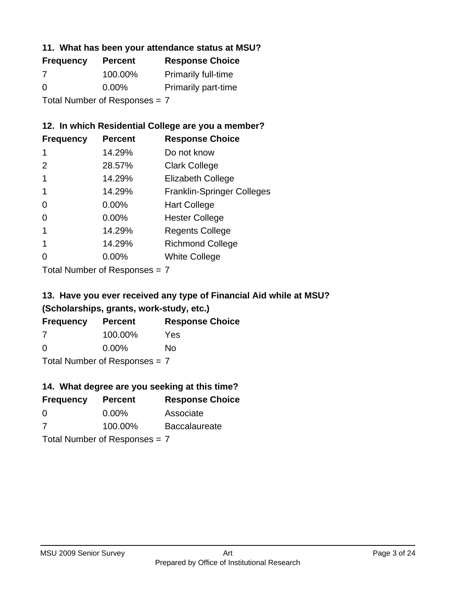#### **11. What has been your attendance status at MSU?**

| <b>Frequency</b>              | <b>Percent</b> | <b>Response Choice</b>     |
|-------------------------------|----------------|----------------------------|
| 7                             | 100.00%        | <b>Primarily full-time</b> |
| $\Omega$                      | $0.00\%$       | <b>Primarily part-time</b> |
| Total Number of Responses = 7 |                |                            |

#### **12. In which Residential College are you a member?**

| <b>Frequency</b> | <b>Percent</b> | <b>Response Choice</b>            |
|------------------|----------------|-----------------------------------|
| 1                | 14.29%         | Do not know                       |
| 2                | 28.57%         | <b>Clark College</b>              |
| 1                | 14.29%         | <b>Elizabeth College</b>          |
|                  | 14.29%         | <b>Franklin-Springer Colleges</b> |
| 0                | $0.00\%$       | <b>Hart College</b>               |
| 0                | 0.00%          | <b>Hester College</b>             |
|                  | 14.29%         | <b>Regents College</b>            |
|                  | 14.29%         | <b>Richmond College</b>           |
|                  | $0.00\%$       | <b>White College</b>              |
|                  |                |                                   |

Total Number of Responses = 7

# **13. Have you ever received any type of Financial Aid while at MSU? (Scholarships, grants, work-study, etc.)**

| <b>Frequency</b>              | <b>Percent</b> | <b>Response Choice</b> |
|-------------------------------|----------------|------------------------|
| 7                             | 100.00%        | Yes                    |
| 0                             | $0.00\%$       | Nο                     |
| Total Number of Responses = 7 |                |                        |

#### **14. What degree are you seeking at this time?**

| <b>Frequency</b> | <b>Percent</b>                | <b>Response Choice</b> |
|------------------|-------------------------------|------------------------|
| 0                | $0.00\%$                      | Associate              |
| 7                | 100.00%                       | <b>Baccalaureate</b>   |
|                  | Total Number of Responses = 7 |                        |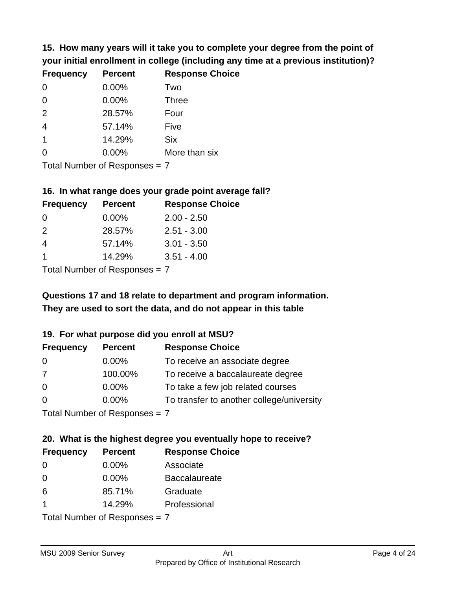**15. How many years will it take you to complete your degree from the point of your initial enrollment in college (including any time at a previous institution)?**

| <b>Frequency</b> | <b>Percent</b> | <b>Response Choice</b> |
|------------------|----------------|------------------------|
| $\overline{0}$   | 0.00%          | Two                    |
| $\overline{0}$   | 0.00%          | <b>Three</b>           |
| 2                | 28.57%         | Four                   |
| $\overline{4}$   | 57.14%         | Five                   |
| $\overline{1}$   | 14.29%         | <b>Six</b>             |
| $\overline{0}$   | 0.00%          | More than six          |
|                  |                |                        |

Total Number of Responses = 7

### **16. In what range does your grade point average fall?**

| <b>Frequency</b> | <b>Percent</b> | <b>Response Choice</b> |
|------------------|----------------|------------------------|
| 0                | $0.00\%$       | $2.00 - 2.50$          |
| $\mathcal{P}$    | 28.57%         | $2.51 - 3.00$          |
| 4                | 57.14%         | $3.01 - 3.50$          |
|                  | 14.29%         | $3.51 - 4.00$          |
|                  |                |                        |

Total Number of Responses = 7

# **They are used to sort the data, and do not appear in this table Questions 17 and 18 relate to department and program information.**

### **19. For what purpose did you enroll at MSU?**

| <b>Frequency</b> | <b>Percent</b>                 | <b>Response Choice</b>                    |
|------------------|--------------------------------|-------------------------------------------|
| 0                | $0.00\%$                       | To receive an associate degree            |
| 7                | 100.00%                        | To receive a baccalaureate degree         |
| $\overline{0}$   | $0.00\%$                       | To take a few job related courses         |
| $\Omega$         | 0.00%                          | To transfer to another college/university |
|                  | $Total Number of Denonone = 7$ |                                           |

Total Number of Responses = 7

# **20. What is the highest degree you eventually hope to receive?**

| <b>Frequency</b> | <b>Percent</b>                  | <b>Response Choice</b> |
|------------------|---------------------------------|------------------------|
| 0                | $0.00\%$                        | Associate              |
| $\overline{0}$   | $0.00\%$                        | <b>Baccalaureate</b>   |
| 6                | 85.71%                          | Graduate               |
| $\mathbf 1$      | 14.29%                          | Professional           |
|                  | Total Number of Responses = $7$ |                        |

MSU 2009 Senior Survey **Art**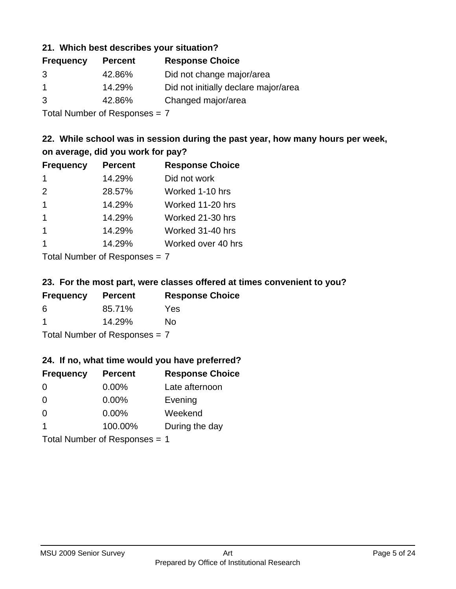#### **21. Which best describes your situation?**

| <b>Frequency</b> | <b>Percent</b> | <b>Response Choice</b>               |
|------------------|----------------|--------------------------------------|
| 3                | 42.86%         | Did not change major/area            |
|                  | 14.29%         | Did not initially declare major/area |
| 3                | 42.86%         | Changed major/area                   |

Total Number of Responses = 7

### **22. While school was in session during the past year, how many hours per week, on average, did you work for pay?**

| <b>Frequency</b> | <b>Percent</b> | <b>Response Choice</b> |
|------------------|----------------|------------------------|
| -1               | 14.29%         | Did not work           |
| 2                | 28.57%         | Worked 1-10 hrs        |
| $\overline{1}$   | 14.29%         | Worked 11-20 hrs       |
| $\mathbf 1$      | 14.29%         | Worked 21-30 hrs       |
| $\mathbf 1$      | 14.29%         | Worked 31-40 hrs       |
|                  | 14.29%         | Worked over 40 hrs     |
|                  |                |                        |

Total Number of Responses = 7

#### **23. For the most part, were classes offered at times convenient to you?**

| <b>Frequency</b>                | <b>Percent</b> | <b>Response Choice</b> |
|---------------------------------|----------------|------------------------|
| 6                               | 85.71%         | Yes                    |
| -1                              | 14.29%         | Nο                     |
| Total Number of Responses = $7$ |                |                        |

#### **24. If no, what time would you have preferred?**

| <b>Frequency</b>        | <b>Percent</b>                | <b>Response Choice</b> |
|-------------------------|-------------------------------|------------------------|
| $\Omega$                | 0.00%                         | Late afternoon         |
| $\Omega$                | 0.00%                         | Evening                |
| $\Omega$                | $0.00\%$                      | Weekend                |
| $\overline{\mathbf{1}}$ | 100.00%                       | During the day         |
|                         | Total Number of Responses = 1 |                        |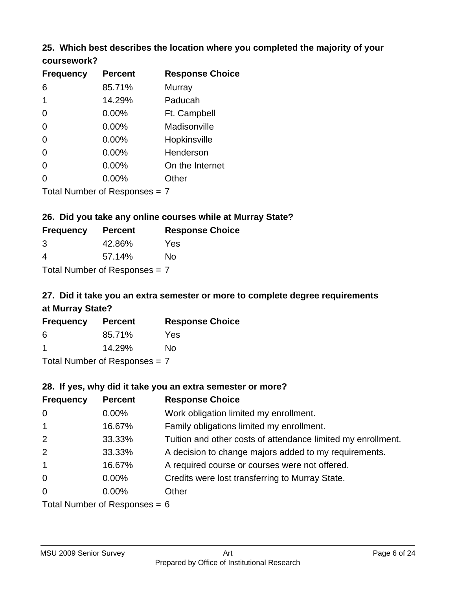### **25. Which best describes the location where you completed the majority of your coursework?**

| <b>Frequency</b> | <b>Percent</b>                  | <b>Response Choice</b> |
|------------------|---------------------------------|------------------------|
| 6                | 85.71%                          | Murray                 |
| 1                | 14.29%                          | Paducah                |
| 0                | 0.00%                           | Ft. Campbell           |
| 0                | 0.00%                           | Madisonville           |
| 0                | 0.00%                           | Hopkinsville           |
| 0                | 0.00%                           | Henderson              |
| 0                | 0.00%                           | On the Internet        |
| 0                | 0.00%                           | Other                  |
|                  | Total Number of Responses $= 7$ |                        |

**26. Did you take any online courses while at Murray State?**

| <b>Frequency</b> | <b>Percent</b>                  | <b>Response Choice</b> |
|------------------|---------------------------------|------------------------|
| 3                | 42.86%                          | Yes                    |
| 4                | 57.14%                          | Nο                     |
|                  | Total Number of Responses $= 7$ |                        |

# **27. Did it take you an extra semester or more to complete degree requirements at Murray State?**

| <b>Frequency</b> | <b>Percent</b>                          | <b>Response Choice</b> |
|------------------|-----------------------------------------|------------------------|
| 6                | 85.71%                                  | Yes                    |
|                  | 14.29%                                  | No                     |
|                  | $T$ at all Message and $D$ are a second |                        |

Total Number of Responses = 7

#### **28. If yes, why did it take you an extra semester or more?**

| <b>Frequency</b> | <b>Percent</b>                  | <b>Response Choice</b>                                       |
|------------------|---------------------------------|--------------------------------------------------------------|
| $\mathbf 0$      | $0.00\%$                        | Work obligation limited my enrollment.                       |
| $\overline{1}$   | 16.67%                          | Family obligations limited my enrollment.                    |
| 2                | 33.33%                          | Tuition and other costs of attendance limited my enrollment. |
| 2                | 33.33%                          | A decision to change majors added to my requirements.        |
| $\mathbf{1}$     | 16.67%                          | A required course or courses were not offered.               |
| $\mathbf 0$      | $0.00\%$                        | Credits were lost transferring to Murray State.              |
| $\overline{0}$   | $0.00\%$                        | Other                                                        |
|                  | Total Number of Reconnege $-$ 6 |                                                              |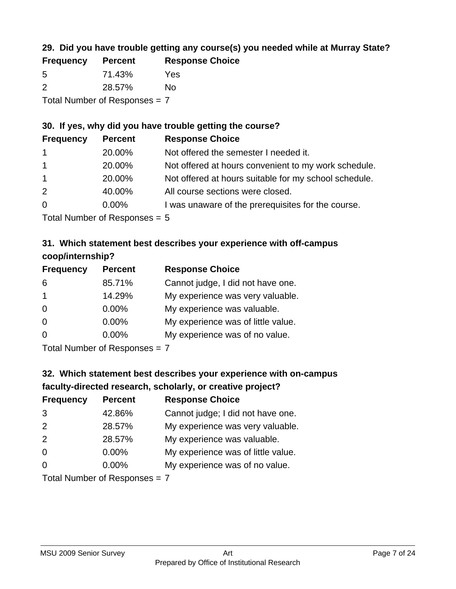### **29. Did you have trouble getting any course(s) you needed while at Murray State?**

| <b>Frequency</b>                | <b>Percent</b> | <b>Response Choice</b> |  |
|---------------------------------|----------------|------------------------|--|
| -5                              | 71.43%         | Yes                    |  |
| $\mathcal{P}$                   | 28.57%         | No.                    |  |
| Total Number of Responses = $7$ |                |                        |  |

### **30. If yes, why did you have trouble getting the course?**

| <b>Frequency</b> | <b>Percent</b> | <b>Response Choice</b>                                |
|------------------|----------------|-------------------------------------------------------|
| $\overline{1}$   | 20.00%         | Not offered the semester I needed it.                 |
| $\mathbf{1}$     | 20.00%         | Not offered at hours convenient to my work schedule.  |
| $\overline{1}$   | 20.00%         | Not offered at hours suitable for my school schedule. |
| 2                | 40.00%         | All course sections were closed.                      |
| $\overline{0}$   | $0.00\%$       | I was unaware of the prerequisites for the course.    |
|                  |                |                                                       |

Total Number of Responses = 5

### **31. Which statement best describes your experience with off-campus coop/internship?**

| <b>Frequency</b> | <b>Percent</b> | <b>Response Choice</b>             |
|------------------|----------------|------------------------------------|
| 6                | 85.71%         | Cannot judge, I did not have one.  |
| $\mathbf 1$      | 14.29%         | My experience was very valuable.   |
| $\Omega$         | 0.00%          | My experience was valuable.        |
| $\Omega$         | 0.00%          | My experience was of little value. |
| $\Omega$         | 0.00%          | My experience was of no value.     |
|                  |                |                                    |

Total Number of Responses = 7

# **32. Which statement best describes your experience with on-campus faculty-directed research, scholarly, or creative project?**

| <b>Frequency</b> | <b>Percent</b>              | <b>Response Choice</b>             |
|------------------|-----------------------------|------------------------------------|
| 3                | 42.86%                      | Cannot judge; I did not have one.  |
| 2                | 28.57%                      | My experience was very valuable.   |
| 2                | 28.57%                      | My experience was valuable.        |
| $\Omega$         | $0.00\%$                    | My experience was of little value. |
| $\Omega$         | $0.00\%$                    | My experience was of no value.     |
|                  | Total Number of Deepensee 7 |                                    |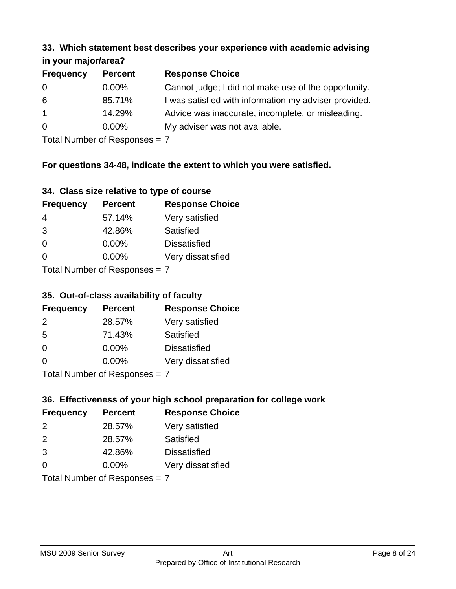#### **33. Which statement best describes your experience with academic advising in your major/area?**

| $\mathbf{u}$ yvu $\mathbf{u}$ yvu $\mathbf{v}$ |                |                                                       |
|------------------------------------------------|----------------|-------------------------------------------------------|
| <b>Frequency</b>                               | <b>Percent</b> | <b>Response Choice</b>                                |
| 0                                              | $0.00\%$       | Cannot judge; I did not make use of the opportunity.  |
| 6                                              | 85.71%         | I was satisfied with information my adviser provided. |
| $\mathbf{1}$                                   | 14.29%         | Advice was inaccurate, incomplete, or misleading.     |
| $\overline{0}$                                 | $0.00\%$       | My adviser was not available.                         |
|                                                |                |                                                       |

Total Number of Responses = 7

### **For questions 34-48, indicate the extent to which you were satisfied.**

| 34. Class size relative to type of course |  |  |  |  |  |  |  |  |
|-------------------------------------------|--|--|--|--|--|--|--|--|
|-------------------------------------------|--|--|--|--|--|--|--|--|

| <b>Frequency</b>              | <b>Percent</b> | <b>Response Choice</b> |  |
|-------------------------------|----------------|------------------------|--|
| -4                            | 57.14%         | Very satisfied         |  |
| 3                             | 42.86%         | Satisfied              |  |
| $\Omega$                      | 0.00%          | <b>Dissatisfied</b>    |  |
| $\Omega$                      | 0.00%          | Very dissatisfied      |  |
| Total Number of Reconnege — 7 |                |                        |  |

I otal Number of Responses =  $7$ 

#### **35. Out-of-class availability of faculty**

| <b>Frequency</b>            | <b>Percent</b> | <b>Response Choice</b> |  |
|-----------------------------|----------------|------------------------|--|
| 2                           | 28.57%         | Very satisfied         |  |
| 5                           | 71.43%         | Satisfied              |  |
| $\Omega$                    | $0.00\%$       | <b>Dissatisfied</b>    |  |
| $\Omega$                    | 0.00%          | Very dissatisfied      |  |
| Total Number of Despesses 7 |                |                        |  |

Total Number of Responses = 7

### **36. Effectiveness of your high school preparation for college work**

| <b>Frequency</b>              | <b>Percent</b> | <b>Response Choice</b> |  |
|-------------------------------|----------------|------------------------|--|
| 2                             | 28.57%         | Very satisfied         |  |
| $\mathcal{P}$                 | 28.57%         | Satisfied              |  |
| 3                             | 42.86%         | <b>Dissatisfied</b>    |  |
| $\Omega$                      | $0.00\%$       | Very dissatisfied      |  |
| Total Number of Responses = 7 |                |                        |  |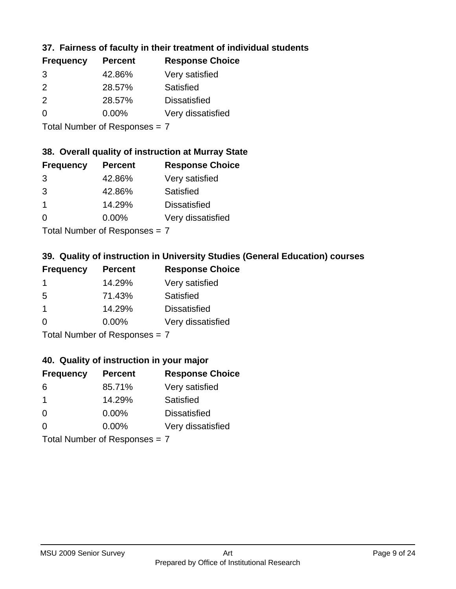### **37. Fairness of faculty in their treatment of individual students**

| <b>Percent</b> | <b>Response Choice</b> |
|----------------|------------------------|
| 42.86%         | Very satisfied         |
| 28.57%         | Satisfied              |
| 28.57%         | <b>Dissatisfied</b>    |
| $0.00\%$       | Very dissatisfied      |
|                |                        |

Total Number of Responses = 7

### **38. Overall quality of instruction at Murray State**

| <b>Frequency</b> | <b>Percent</b> | <b>Response Choice</b> |
|------------------|----------------|------------------------|
| 3                | 42.86%         | Very satisfied         |
| 3                | 42.86%         | Satisfied              |
|                  | 14.29%         | <b>Dissatisfied</b>    |
| $\Omega$         | 0.00%          | Very dissatisfied      |
|                  |                |                        |

Total Number of Responses = 7

### **39. Quality of instruction in University Studies (General Education) courses**

| <b>Frequency</b>     | <b>Percent</b> | <b>Response Choice</b> |
|----------------------|----------------|------------------------|
|                      | 14.29%         | Very satisfied         |
| 5                    | 71.43%         | Satisfied              |
| $\blacktriangleleft$ | 14.29%         | <b>Dissatisfied</b>    |
| $\Omega$             | 0.00%          | Very dissatisfied      |
|                      |                |                        |

Total Number of Responses = 7

#### **40. Quality of instruction in your major**

| <b>Frequency</b> | <b>Percent</b>            | <b>Response Choice</b> |
|------------------|---------------------------|------------------------|
| 6                | 85.71%                    | Very satisfied         |
| -1               | 14.29%                    | Satisfied              |
| $\Omega$         | 0.00%                     | <b>Dissatisfied</b>    |
| $\Omega$         | 0.00%                     | Very dissatisfied      |
|                  | Total Number of Deepensee |                        |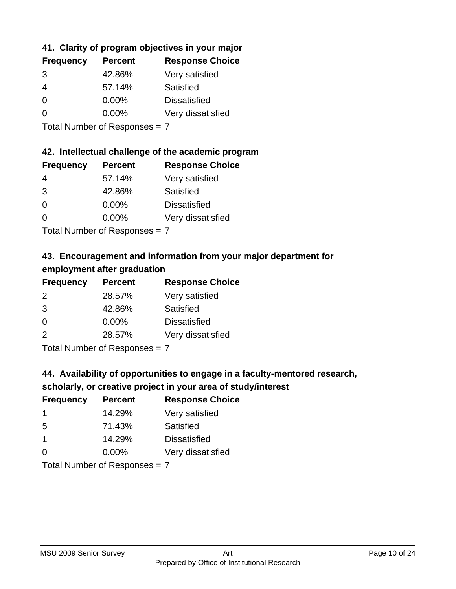### **41. Clarity of program objectives in your major**

| <b>Frequency</b> | <b>Percent</b> | <b>Response Choice</b> |
|------------------|----------------|------------------------|
| 3                | 42.86%         | Very satisfied         |
| 4                | 57.14%         | Satisfied              |
| 0                | $0.00\%$       | <b>Dissatisfied</b>    |
| $\Omega$         | 0.00%          | Very dissatisfied      |
|                  |                |                        |

Total Number of Responses = 7

### **42. Intellectual challenge of the academic program**

| <b>Frequency</b> | <b>Percent</b> | <b>Response Choice</b> |
|------------------|----------------|------------------------|
| 4                | 57.14%         | Very satisfied         |
| 3                | 42.86%         | Satisfied              |
| $\Omega$         | $0.00\%$       | <b>Dissatisfied</b>    |
| ∩                | $0.00\%$       | Very dissatisfied      |
|                  |                |                        |

Total Number of Responses = 7

## **43. Encouragement and information from your major department for employment after graduation**

| <b>Frequency</b> | <b>Percent</b> | <b>Response Choice</b> |
|------------------|----------------|------------------------|
| 2                | 28.57%         | Very satisfied         |
| 3                | 42.86%         | Satisfied              |
| 0                | $0.00\%$       | <b>Dissatisfied</b>    |
| 2                | 28.57%         | Very dissatisfied      |
|                  |                |                        |

Total Number of Responses = 7

# **44. Availability of opportunities to engage in a faculty-mentored research,**

### **scholarly, or creative project in your area of study/interest**

| <b>Frequency</b> | <b>Percent</b> | <b>Response Choice</b> |
|------------------|----------------|------------------------|
|                  | 14.29%         | Very satisfied         |
| 5                | 71.43%         | Satisfied              |
| 1                | 14.29%         | <b>Dissatisfied</b>    |
| ∩                | 0.00%          | Very dissatisfied      |
|                  |                |                        |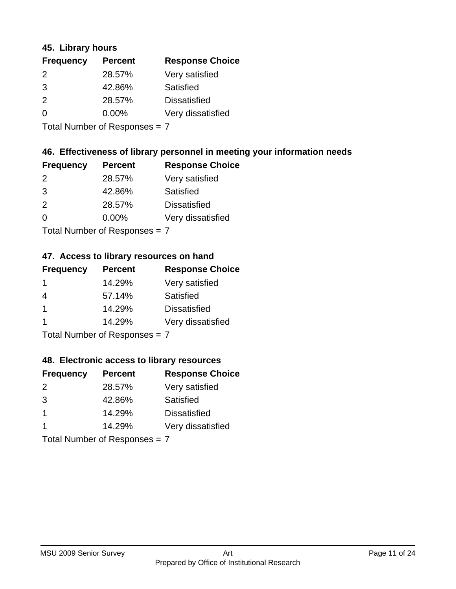#### **45. Library hours**

| <b>Frequency</b> | <b>Percent</b> | <b>Response Choice</b> |
|------------------|----------------|------------------------|
| 2                | 28.57%         | Very satisfied         |
| 3                | 42.86%         | Satisfied              |
| $\mathcal{P}$    | 28.57%         | <b>Dissatisfied</b>    |
| 0                | $0.00\%$       | Very dissatisfied      |
|                  |                |                        |

Total Number of Responses = 7

### **46. Effectiveness of library personnel in meeting your information needs**

| <b>Frequency</b> | <b>Percent</b> | <b>Response Choice</b> |
|------------------|----------------|------------------------|
| $\mathcal{P}$    | 28.57%         | Very satisfied         |
| 3                | 42.86%         | Satisfied              |
| $\mathcal{P}$    | 28.57%         | <b>Dissatisfied</b>    |
| $\Omega$         | 0.00%          | Very dissatisfied      |
|                  |                |                        |

Total Number of Responses = 7

### **47. Access to library resources on hand**

| <b>Frequency</b> | <b>Percent</b>                                                                                                 | <b>Response Choice</b> |
|------------------|----------------------------------------------------------------------------------------------------------------|------------------------|
|                  | 14.29%                                                                                                         | Very satisfied         |
| 4                | 57.14%                                                                                                         | Satisfied              |
| $\overline{1}$   | 14.29%                                                                                                         | <b>Dissatisfied</b>    |
|                  | 14.29%                                                                                                         | Very dissatisfied      |
|                  | $\tau$ . $\tau$ . In the set of $\tau$ , $\tau$ , $\tau$ , $\tau$ , $\tau$ , $\tau$ , $\tau$ , $\tau$ , $\tau$ |                        |

Total Number of Responses = 7

#### **48. Electronic access to library resources**

| <b>Frequency</b> | <b>Percent</b>                | <b>Response Choice</b> |
|------------------|-------------------------------|------------------------|
| 2                | 28.57%                        | Very satisfied         |
| 3                | 42.86%                        | Satisfied              |
| $\overline{1}$   | 14.29%                        | <b>Dissatisfied</b>    |
|                  | 14.29%                        | Very dissatisfied      |
|                  | Total Number of Responses = 7 |                        |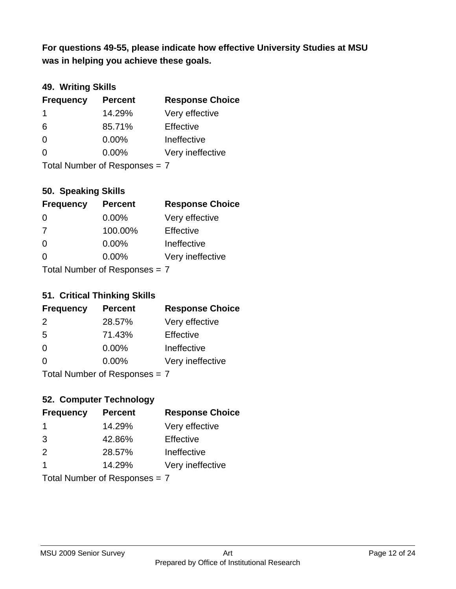**was in helping you achieve these goals. For questions 49-55, please indicate how effective University Studies at MSU** 

### **49. Writing Skills**

| <b>Frequency</b>              | <b>Percent</b> | <b>Response Choice</b> |
|-------------------------------|----------------|------------------------|
| $\mathbf 1$                   | 14.29%         | Very effective         |
| 6                             | 85.71%         | Effective              |
| $\Omega$                      | $0.00\%$       | Ineffective            |
| $\Omega$                      | $0.00\%$       | Very ineffective       |
| Total Number of Responses = 7 |                |                        |

#### **50. Speaking Skills**

| <b>Frequency</b>              | <b>Percent</b> | <b>Response Choice</b> |
|-------------------------------|----------------|------------------------|
| $\Omega$                      | $0.00\%$       | Very effective         |
| 7                             | 100.00%        | Effective              |
| $\Omega$                      | 0.00%          | Ineffective            |
| $\Omega$                      | 0.00%          | Very ineffective       |
| Total Number of Poenonces - 7 |                |                        |

Total Number of Responses  $=$   $\prime$ 

#### **51. Critical Thinking Skills**

| <b>Frequency</b>            | <b>Percent</b> | <b>Response Choice</b> |
|-----------------------------|----------------|------------------------|
| 2                           | 28.57%         | Very effective         |
| 5                           | 71.43%         | Effective              |
| $\Omega$                    | 0.00%          | Ineffective            |
| $\Omega$                    | 0.00%          | Very ineffective       |
| Total Number of Despesses 7 |                |                        |

Total Number of Responses = 7

### **52. Computer Technology**

| <b>Frequency</b>        | <b>Percent</b>                | <b>Response Choice</b> |
|-------------------------|-------------------------------|------------------------|
| -1                      | 14.29%                        | Very effective         |
| 3                       | 42.86%                        | Effective              |
| 2                       | 28.57%                        | Ineffective            |
| $\overline{\mathbf{1}}$ | 14.29%                        | Very ineffective       |
|                         | Total Number of Responses = 7 |                        |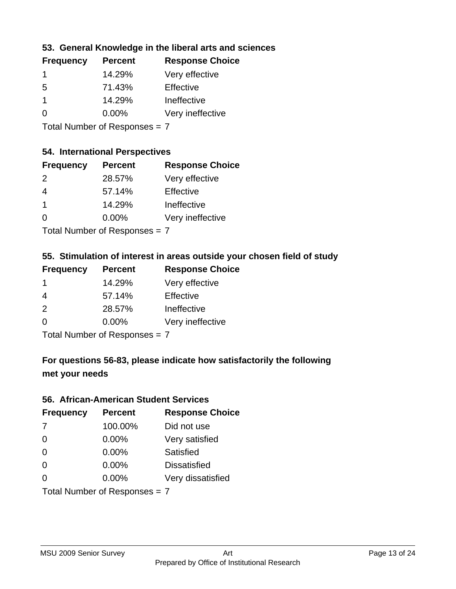### **53. General Knowledge in the liberal arts and sciences**

| <b>Frequency</b> | <b>Percent</b> | <b>Response Choice</b> |
|------------------|----------------|------------------------|
|                  | 14.29%         | Very effective         |
| .5               | 71.43%         | Effective              |
|                  | 14.29%         | Ineffective            |
| O                | $0.00\%$       | Very ineffective       |
|                  |                |                        |

Total Number of Responses = 7

### **54. International Perspectives**

| <b>Frequency</b> | <b>Percent</b> | <b>Response Choice</b> |
|------------------|----------------|------------------------|
| $\mathcal{P}$    | 28.57%         | Very effective         |
| 4                | 57.14%         | Effective              |
| 1                | 14.29%         | Ineffective            |
| $\Omega$         | 0.00%          | Very ineffective       |
|                  |                |                        |

Total Number of Responses = 7

### **55. Stimulation of interest in areas outside your chosen field of study**

| <b>Frequency</b> | <b>Percent</b>              | <b>Response Choice</b> |
|------------------|-----------------------------|------------------------|
|                  | 14.29%                      | Very effective         |
| 4                | 57.14%                      | Effective              |
| 2                | 28.57%                      | Ineffective            |
| $\Omega$         | 0.00%                       | Very ineffective       |
|                  | Tatal Manualan af Dannannan |                        |

Total Number of Responses = 7

## **For questions 56-83, please indicate how satisfactorily the following met your needs**

#### **56. African-American Student Services**

| <b>Frequency</b>              | <b>Percent</b> | <b>Response Choice</b> |
|-------------------------------|----------------|------------------------|
| 7                             | 100.00%        | Did not use            |
| $\Omega$                      | 0.00%          | Very satisfied         |
| $\Omega$                      | 0.00%          | Satisfied              |
| $\Omega$                      | 0.00%          | <b>Dissatisfied</b>    |
| $\Omega$                      | 0.00%          | Very dissatisfied      |
| Total Number of Responses = 7 |                |                        |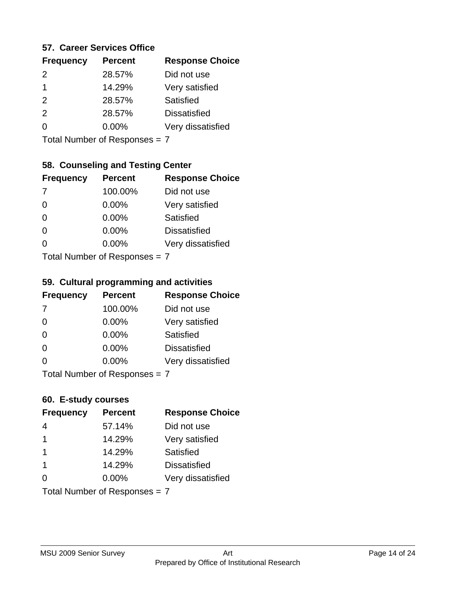#### **57. Career Services Office**

| <b>Frequency</b> | <b>Percent</b> | <b>Response Choice</b> |
|------------------|----------------|------------------------|
| $\mathcal{P}$    | 28.57%         | Did not use            |
|                  | 14.29%         | Very satisfied         |
| 2                | 28.57%         | Satisfied              |
| $\mathcal{P}$    | 28.57%         | <b>Dissatisfied</b>    |
|                  | $0.00\%$       | Very dissatisfied      |
|                  |                |                        |

Total Number of Responses = 7

#### **58. Counseling and Testing Center**

| <b>Frequency</b>                | <b>Percent</b> | <b>Response Choice</b> |
|---------------------------------|----------------|------------------------|
| -7                              | 100.00%        | Did not use            |
| $\Omega$                        | $0.00\%$       | Very satisfied         |
| $\Omega$                        | $0.00\%$       | Satisfied              |
| $\Omega$                        | $0.00\%$       | <b>Dissatisfied</b>    |
| 0                               | 0.00%          | Very dissatisfied      |
| $Total Number of Doepopoog = 7$ |                |                        |

Total Number of Responses = 7

#### **59. Cultural programming and activities**

| <b>Frequency</b>                | <b>Percent</b> | <b>Response Choice</b> |
|---------------------------------|----------------|------------------------|
| 7                               | 100.00%        | Did not use            |
| $\Omega$                        | $0.00\%$       | Very satisfied         |
| $\Omega$                        | 0.00%          | Satisfied              |
| $\Omega$                        | $0.00\%$       | <b>Dissatisfied</b>    |
| $\Omega$                        | 0.00%          | Very dissatisfied      |
| Total Number of Responses $= 7$ |                |                        |

#### **60. E-study courses**

| <b>Frequency</b>              | <b>Percent</b> | <b>Response Choice</b> |
|-------------------------------|----------------|------------------------|
| 4                             | 57.14%         | Did not use            |
| $\mathbf 1$                   | 14.29%         | Very satisfied         |
| $\mathbf 1$                   | 14.29%         | Satisfied              |
| $\overline{1}$                | 14.29%         | <b>Dissatisfied</b>    |
| $\Omega$                      | 0.00%          | Very dissatisfied      |
| Total Number of Responses = 7 |                |                        |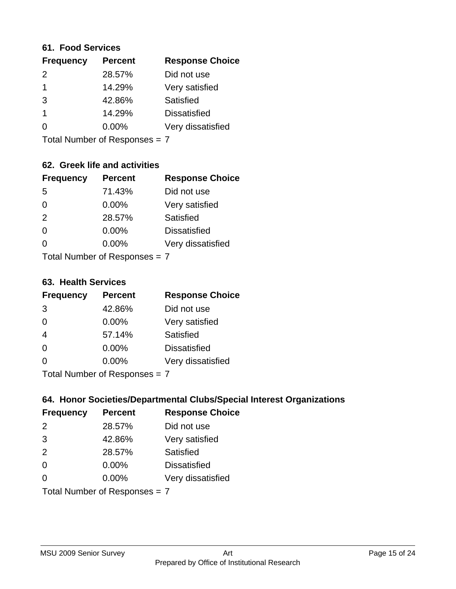#### **61. Food Services**

| <b>Frequency</b> | <b>Percent</b> | <b>Response Choice</b> |
|------------------|----------------|------------------------|
| $\mathcal{P}$    | 28.57%         | Did not use            |
|                  | 14.29%         | Very satisfied         |
| 3                | 42.86%         | Satisfied              |
|                  | 14.29%         | <b>Dissatisfied</b>    |
| O                | $0.00\%$       | Very dissatisfied      |
|                  |                |                        |

Total Number of Responses = 7

### **62. Greek life and activities**

| <b>Frequency</b>              | <b>Percent</b> | <b>Response Choice</b> |
|-------------------------------|----------------|------------------------|
| 5                             | 71.43%         | Did not use            |
| 0                             | 0.00%          | Very satisfied         |
| 2                             | 28.57%         | Satisfied              |
| $\Omega$                      | 0.00%          | <b>Dissatisfied</b>    |
|                               | 0.00%          | Very dissatisfied      |
| Total Number of Responses = 7 |                |                        |

**63. Health Services**

| <b>Frequency</b> | <b>Percent</b>             | <b>Response Choice</b> |
|------------------|----------------------------|------------------------|
| 3                | 42.86%                     | Did not use            |
| $\Omega$         | 0.00%                      | Very satisfied         |
| $\overline{4}$   | 57.14%                     | <b>Satisfied</b>       |
| $\Omega$         | $0.00\%$                   | <b>Dissatisfied</b>    |
| $\Omega$         | $0.00\%$                   | Very dissatisfied      |
|                  | Total Number of Deepersoon |                        |

Total Number of Responses = 7

### **64. Honor Societies/Departmental Clubs/Special Interest Organizations**

| <b>Frequency</b>              | <b>Percent</b> | <b>Response Choice</b> |
|-------------------------------|----------------|------------------------|
| 2                             | 28.57%         | Did not use            |
| 3                             | 42.86%         | Very satisfied         |
| 2                             | 28.57%         | Satisfied              |
| $\Omega$                      | $0.00\%$       | <b>Dissatisfied</b>    |
| 0                             | 0.00%          | Very dissatisfied      |
| Total Number of Responses = 7 |                |                        |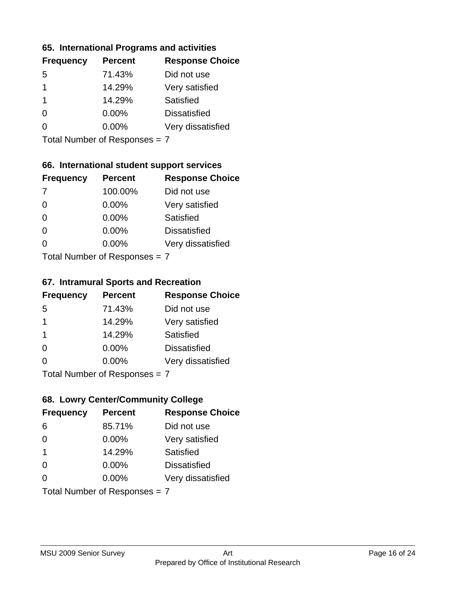# **65. International Programs and activities**

| <b>Frequency</b> | <b>Percent</b> | <b>Response Choice</b> |
|------------------|----------------|------------------------|
| .5               | 71.43%         | Did not use            |
|                  | 14.29%         | Very satisfied         |
|                  | 14.29%         | Satisfied              |
| 0                | $0.00\%$       | <b>Dissatisfied</b>    |
|                  | 0.00%          | Very dissatisfied      |
|                  |                |                        |

Total Number of Responses = 7

### **66. International student support services**

| <b>Frequency</b>                 | <b>Percent</b> | <b>Response Choice</b> |
|----------------------------------|----------------|------------------------|
| -7                               | 100.00%        | Did not use            |
| $\Omega$                         | 0.00%          | Very satisfied         |
| $\Omega$                         | $0.00\%$       | Satisfied              |
| $\Omega$                         | 0.00%          | <b>Dissatisfied</b>    |
| ∩                                | 0.00%          | Very dissatisfied      |
| $Total Number of DoEROR 202 = 7$ |                |                        |

Total Number of Responses = 7

#### **67. Intramural Sports and Recreation**

| <b>Frequency</b>              | <b>Percent</b> | <b>Response Choice</b> |
|-------------------------------|----------------|------------------------|
| -5                            | 71.43%         | Did not use            |
| $\mathbf 1$                   | 14.29%         | Very satisfied         |
| $\mathbf 1$                   | 14.29%         | <b>Satisfied</b>       |
| $\Omega$                      | $0.00\%$       | <b>Dissatisfied</b>    |
| $\Omega$                      | $0.00\%$       | Very dissatisfied      |
| $Total Number of Denonce = 7$ |                |                        |

Total Number of Responses = 7

### **68. Lowry Center/Community College**

| <b>Frequency</b>              | <b>Percent</b> | <b>Response Choice</b> |
|-------------------------------|----------------|------------------------|
| 6                             | 85.71%         | Did not use            |
| $\Omega$                      | 0.00%          | Very satisfied         |
| $\overline{\mathbf{1}}$       | 14.29%         | Satisfied              |
| $\Omega$                      | $0.00\%$       | <b>Dissatisfied</b>    |
| $\Omega$                      | 0.00%          | Very dissatisfied      |
| Total Number of Responses = 7 |                |                        |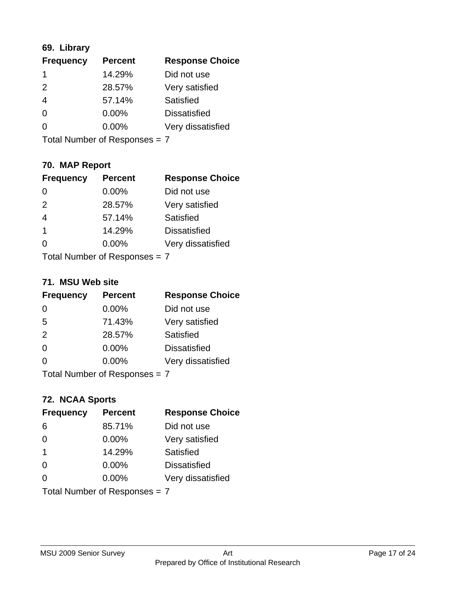### **69. Library**

| <b>Frequency</b> | <b>Percent</b> | <b>Response Choice</b> |
|------------------|----------------|------------------------|
| 1                | 14.29%         | Did not use            |
| $\mathcal{P}$    | 28.57%         | Very satisfied         |
| 4                | 57.14%         | Satisfied              |
| $\Omega$         | $0.00\%$       | <b>Dissatisfied</b>    |
| 0                | $0.00\%$       | Very dissatisfied      |
|                  |                |                        |

Total Number of Responses = 7

### **70. MAP Report**

| <b>Frequency</b>              | <b>Percent</b> | <b>Response Choice</b> |
|-------------------------------|----------------|------------------------|
|                               | 0.00%          | Did not use            |
| 2                             | 28.57%         | Very satisfied         |
| $\overline{4}$                | 57.14%         | Satisfied              |
| 1                             | 14.29%         | <b>Dissatisfied</b>    |
|                               | 0.00%          | Very dissatisfied      |
| Total Number of Responses = 7 |                |                        |

#### **71. MSU Web site**

| <b>Frequency</b>                | <b>Percent</b> | <b>Response Choice</b> |
|---------------------------------|----------------|------------------------|
| $\Omega$                        | 0.00%          | Did not use            |
| 5                               | 71.43%         | Very satisfied         |
| 2                               | 28.57%         | Satisfied              |
| $\Omega$                        | 0.00%          | <b>Dissatisfied</b>    |
| ∩                               | 0.00%          | Very dissatisfied      |
| Total Number of Responses = $7$ |                |                        |

#### **72. NCAA Sports**

| <b>Frequency</b>              | <b>Percent</b> | <b>Response Choice</b> |
|-------------------------------|----------------|------------------------|
| 6                             | 85.71%         | Did not use            |
| $\Omega$                      | 0.00%          | Very satisfied         |
| -1                            | 14.29%         | Satisfied              |
| $\Omega$                      | 0.00%          | <b>Dissatisfied</b>    |
| ∩                             | $0.00\%$       | Very dissatisfied      |
| Total Number of Responses = 7 |                |                        |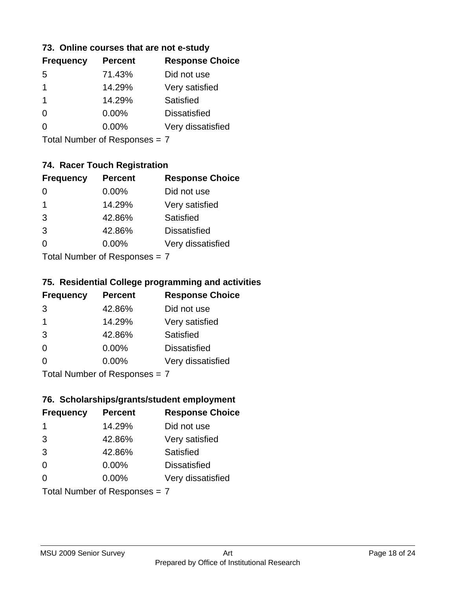#### **73. Online courses that are not e-study**

| <b>Percent</b> | <b>Response Choice</b> |
|----------------|------------------------|
| 71.43%         | Did not use            |
| 14.29%         | Very satisfied         |
| 14.29%         | Satisfied              |
| $0.00\%$       | <b>Dissatisfied</b>    |
| $0.00\%$       | Very dissatisfied      |
|                |                        |

Total Number of Responses = 7

### **74. Racer Touch Registration**

| <b>Frequency</b>            | <b>Percent</b> | <b>Response Choice</b> |
|-----------------------------|----------------|------------------------|
| 0                           | 0.00%          | Did not use            |
| 1                           | 14.29%         | Very satisfied         |
| 3                           | 42.86%         | Satisfied              |
| 3                           | 42.86%         | <b>Dissatisfied</b>    |
| ∩                           | 0.00%          | Very dissatisfied      |
| Total Number of Despanses 7 |                |                        |

Total Number of Responses = 7

### **75. Residential College programming and activities**

| <b>Frequency</b>          | <b>Percent</b> | <b>Response Choice</b> |
|---------------------------|----------------|------------------------|
| 3                         | 42.86%         | Did not use            |
| $\mathbf 1$               | 14.29%         | Very satisfied         |
| 3                         | 42.86%         | Satisfied              |
| $\Omega$                  | 0.00%          | <b>Dissatisfied</b>    |
| $\Omega$                  | 0.00%          | Very dissatisfied      |
| Total Number of Desponses |                |                        |

Total Number of Responses = 7

#### **76. Scholarships/grants/student employment**

| <b>Frequency</b> | <b>Percent</b>                | <b>Response Choice</b> |
|------------------|-------------------------------|------------------------|
| -1               | 14.29%                        | Did not use            |
| 3                | 42.86%                        | Very satisfied         |
| 3                | 42.86%                        | Satisfied              |
| $\Omega$         | 0.00%                         | <b>Dissatisfied</b>    |
| $\Omega$         | 0.00%                         | Very dissatisfied      |
|                  | Total Number of Responses = 7 |                        |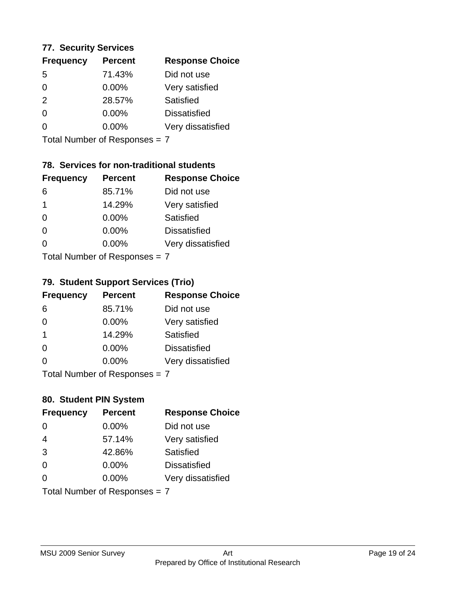### **77. Security Services**

| <b>Frequency</b> | <b>Percent</b> | <b>Response Choice</b> |
|------------------|----------------|------------------------|
| 5                | 71.43%         | Did not use            |
| 0                | $0.00\%$       | Very satisfied         |
| 2                | 28.57%         | Satisfied              |
| 0                | $0.00\%$       | <b>Dissatisfied</b>    |
| O                | $0.00\%$       | Very dissatisfied      |
|                  |                |                        |

Total Number of Responses = 7

### **78. Services for non-traditional students**

| <b>Frequency</b>              | <b>Percent</b> | <b>Response Choice</b> |
|-------------------------------|----------------|------------------------|
| 6                             | 85.71%         | Did not use            |
| 1                             | 14.29%         | Very satisfied         |
| $\Omega$                      | $0.00\%$       | <b>Satisfied</b>       |
| $\Omega$                      | $0.00\%$       | <b>Dissatisfied</b>    |
| 0                             | 0.00%          | Very dissatisfied      |
| $Total Number of Denonce = 7$ |                |                        |

Total Number of Responses = 7

### **79. Student Support Services (Trio)**

| <b>Frequency</b>              | <b>Percent</b> | <b>Response Choice</b> |
|-------------------------------|----------------|------------------------|
| 6                             | 85.71%         | Did not use            |
| $\Omega$                      | $0.00\%$       | Very satisfied         |
| $\mathbf 1$                   | 14.29%         | Satisfied              |
| $\Omega$                      | $0.00\%$       | <b>Dissatisfied</b>    |
| 0                             | 0.00%          | Very dissatisfied      |
| $Total Number of Doepopoog -$ |                |                        |

I otal Number of Responses = 7

### **80. Student PIN System**

| <b>Frequency</b> | <b>Percent</b>                | <b>Response Choice</b> |
|------------------|-------------------------------|------------------------|
| 0                | 0.00%                         | Did not use            |
| $\overline{4}$   | 57.14%                        | Very satisfied         |
| 3                | 42.86%                        | Satisfied              |
| $\Omega$         | 0.00%                         | <b>Dissatisfied</b>    |
| $\Omega$         | $0.00\%$                      | Very dissatisfied      |
|                  | Total Number of Responses = 7 |                        |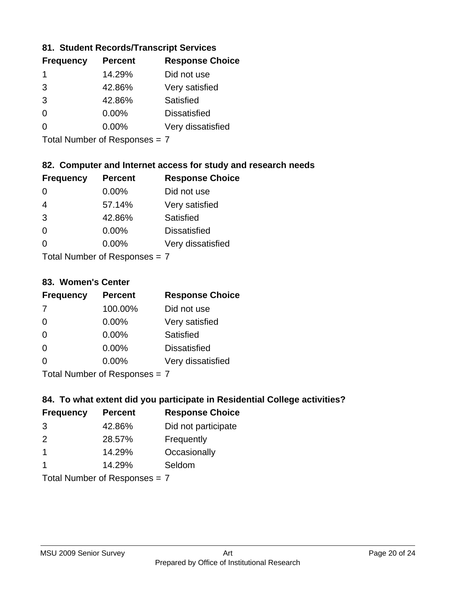### **81. Student Records/Transcript Services**

| <b>Frequency</b> | <b>Percent</b> | <b>Response Choice</b> |
|------------------|----------------|------------------------|
|                  | 14.29%         | Did not use            |
| 3                | 42.86%         | Very satisfied         |
| 3                | 42.86%         | Satisfied              |
| $\Omega$         | 0.00%          | <b>Dissatisfied</b>    |
|                  | $0.00\%$       | Very dissatisfied      |

Total Number of Responses = 7

### **82. Computer and Internet access for study and research needs**

| <b>Frequency</b>           | <b>Percent</b> | <b>Response Choice</b> |
|----------------------------|----------------|------------------------|
|                            | 0.00%          | Did not use            |
| $\overline{4}$             | 57.14%         | Very satisfied         |
| 3                          | 42.86%         | <b>Satisfied</b>       |
| $\Omega$                   | 0.00%          | <b>Dissatisfied</b>    |
| 0                          | 0.00%          | Very dissatisfied      |
| Tatal Number of Desperance |                |                        |

Total Number of Responses = 7

#### **83. Women's Center**

| <b>Frequency</b>          | <b>Percent</b> | <b>Response Choice</b> |
|---------------------------|----------------|------------------------|
| -7                        | 100.00%        | Did not use            |
| $\Omega$                  | $0.00\%$       | Very satisfied         |
| $\Omega$                  | $0.00\%$       | Satisfied              |
| $\Omega$                  | $0.00\%$       | <b>Dissatisfied</b>    |
| ∩                         | 0.00%          | Very dissatisfied      |
| Total Number of Desperace |                |                        |

Total Number of Responses = 7

#### **84. To what extent did you participate in Residential College activities?**

| <b>Frequency</b> | <b>Percent</b>              | <b>Response Choice</b> |
|------------------|-----------------------------|------------------------|
| 3                | 42.86%                      | Did not participate    |
| $\mathcal{P}$    | 28.57%                      | Frequently             |
|                  | 14.29%                      | Occasionally           |
|                  | 14.29%                      | Seldom                 |
|                  | Total Number of Despesses 7 |                        |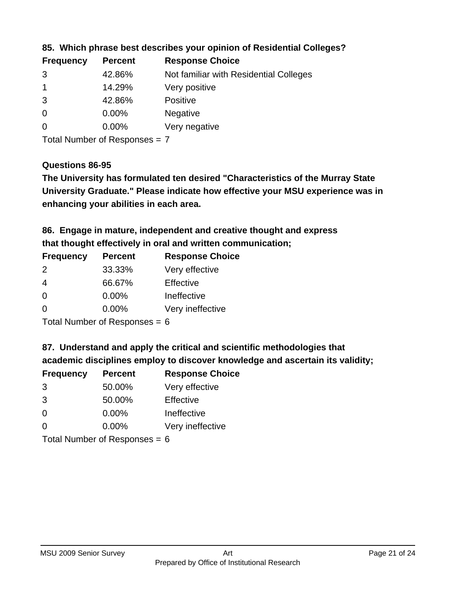| <b>Percent</b> | <b>Response Choice</b>                 |
|----------------|----------------------------------------|
| 42.86%         | Not familiar with Residential Colleges |
| 14.29%         | Very positive                          |
| 42.86%         | <b>Positive</b>                        |
| 0.00%          | <b>Negative</b>                        |
| $0.00\%$       | Very negative                          |
|                |                                        |

**85. Which phrase best describes your opinion of Residential Colleges?**

Total Number of Responses = 7

#### **Questions 86-95**

**University Graduate." Please indicate how effective your MSU experience was in The University has formulated ten desired "Characteristics of the Murray State enhancing your abilities in each area.**

**86. Engage in mature, independent and creative thought and express that thought effectively in oral and written communication;**

| <b>Frequency</b> | <b>Percent</b> | <b>Response Choice</b> |
|------------------|----------------|------------------------|
| $\mathcal{P}$    | 33.33%         | Very effective         |
| 4                | 66.67%         | Effective              |
| $\Omega$         | 0.00%          | Ineffective            |
| ∩                | 0.00%          | Very ineffective       |

Total Number of Responses = 6

**87. Understand and apply the critical and scientific methodologies that** 

**academic disciplines employ to discover knowledge and ascertain its validity;**

| <b>Frequency</b> | <b>Percent</b> | <b>Response Choice</b> |
|------------------|----------------|------------------------|
| 3                | 50.00%         | Very effective         |
| 3                | 50.00%         | Effective              |
| $\Omega$         | 0.00%          | Ineffective            |
| $\Omega$         | 0.00%          | Very ineffective       |
|                  |                |                        |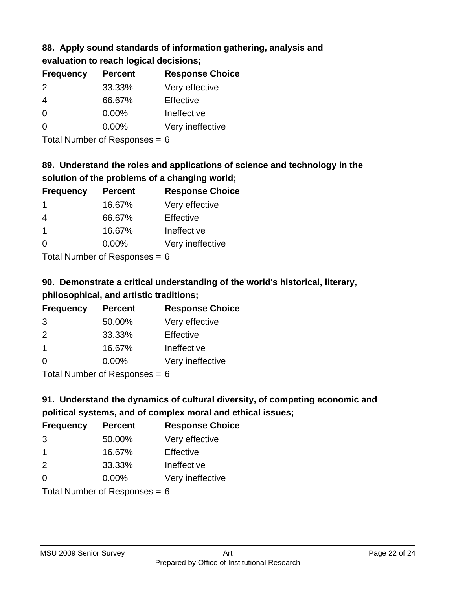# **88. Apply sound standards of information gathering, analysis and evaluation to reach logical decisions;**

| <b>Frequency</b> | <b>Percent</b> | <b>Response Choice</b> |
|------------------|----------------|------------------------|
| 2                | 33.33%         | Very effective         |
| $\overline{4}$   | 66.67%         | Effective              |
| $\Omega$         | 0.00%          | Ineffective            |
| $\Omega$         | 0.00%          | Very ineffective       |
|                  |                |                        |

Total Number of Responses = 6

# **89. Understand the roles and applications of science and technology in the solution of the problems of a changing world;**

| <b>Frequency</b> | <b>Percent</b>                                                                                                 | <b>Response Choice</b> |
|------------------|----------------------------------------------------------------------------------------------------------------|------------------------|
| -1               | 16.67%                                                                                                         | Very effective         |
| 4                | 66.67%                                                                                                         | Effective              |
| -1               | 16.67%                                                                                                         | Ineffective            |
| $\Omega$         | 0.00%                                                                                                          | Very ineffective       |
|                  | The INDIAN Contract Contract in the Contract of Contract of Contract of Contract of Contract of Contract of Co |                        |

Total Number of Responses = 6

# **90. Demonstrate a critical understanding of the world's historical, literary, philosophical, and artistic traditions;**

| <b>Frequency</b> | <b>Percent</b> | <b>Response Choice</b> |
|------------------|----------------|------------------------|
| 3                | 50.00%         | Very effective         |
| $\mathcal{P}$    | 33.33%         | Effective              |
| $\overline{1}$   | 16.67%         | Ineffective            |
| $\Omega$         | 0.00%          | Very ineffective       |
|                  |                |                        |

Total Number of Responses = 6

# **91. Understand the dynamics of cultural diversity, of competing economic and political systems, and of complex moral and ethical issues;**

| <b>Frequency</b>                | <b>Percent</b> | <b>Response Choice</b> |
|---------------------------------|----------------|------------------------|
| 3                               | 50.00%         | Very effective         |
| $\mathbf 1$                     | 16.67%         | Effective              |
| 2                               | 33.33%         | Ineffective            |
| $\Omega$                        | $0.00\%$       | Very ineffective       |
| Total Number of Responses = $6$ |                |                        |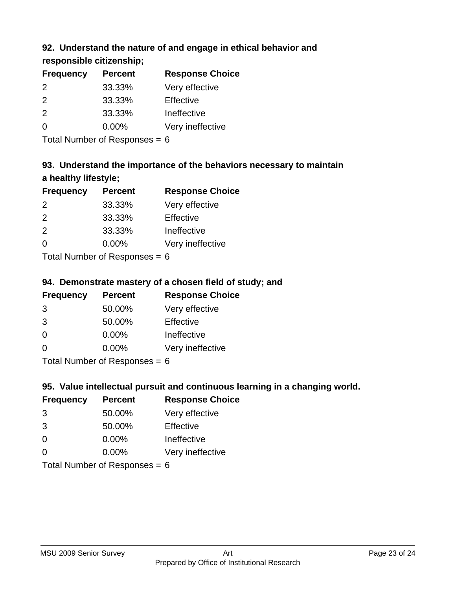### **92. Understand the nature of and engage in ethical behavior and**

**responsible citizenship;**

| <b>Percent</b> | <b>Response Choice</b> |
|----------------|------------------------|
| 33.33%         | Very effective         |
| 33.33%         | Effective              |
| 33.33%         | Ineffective            |
| $0.00\%$       | Very ineffective       |
|                |                        |

Total Number of Responses = 6

# **93. Understand the importance of the behaviors necessary to maintain a healthy lifestyle;**

| <b>Frequency</b> | <b>Percent</b>                                                                                                                                                                                                                 | <b>Response Choice</b> |
|------------------|--------------------------------------------------------------------------------------------------------------------------------------------------------------------------------------------------------------------------------|------------------------|
| 2                | 33.33%                                                                                                                                                                                                                         | Very effective         |
| $\mathcal{P}$    | 33.33%                                                                                                                                                                                                                         | Effective              |
| 2                | 33.33%                                                                                                                                                                                                                         | Ineffective            |
| $\Omega$         | 0.00%                                                                                                                                                                                                                          | Very ineffective       |
|                  | The Little and the Little Communist Communist Communist Communist Communist Communist Communist Communist Communist Communist Communist Communist Communist Communist Communist Communist Communist Communist Communist Commun |                        |

Total Number of Responses = 6

### **94. Demonstrate mastery of a chosen field of study; and**

| <b>Frequency</b> | <b>Percent</b> | <b>Response Choice</b> |
|------------------|----------------|------------------------|
| 3                | 50.00%         | Very effective         |
| 3                | 50.00%         | Effective              |
| $\Omega$         | $0.00\%$       | Ineffective            |
| ∩                | $0.00\%$       | Very ineffective       |
|                  |                |                        |

Total Number of Responses = 6

### **95. Value intellectual pursuit and continuous learning in a changing world.**

| <b>Frequency</b> | <b>Percent</b>                                                                                                                                                                                                                 | <b>Response Choice</b> |
|------------------|--------------------------------------------------------------------------------------------------------------------------------------------------------------------------------------------------------------------------------|------------------------|
| 3                | 50.00%                                                                                                                                                                                                                         | Very effective         |
| 3                | 50.00%                                                                                                                                                                                                                         | Effective              |
| $\Omega$         | 0.00%                                                                                                                                                                                                                          | Ineffective            |
| $\Omega$         | 0.00%                                                                                                                                                                                                                          | Very ineffective       |
|                  | The INDIAN Contract Contract in the Contract of The Contract of The Contract of The Contract of The Contract of The Contract of The Contract of The Contract of The Contract of The Contract of The Contract of The Contract o |                        |